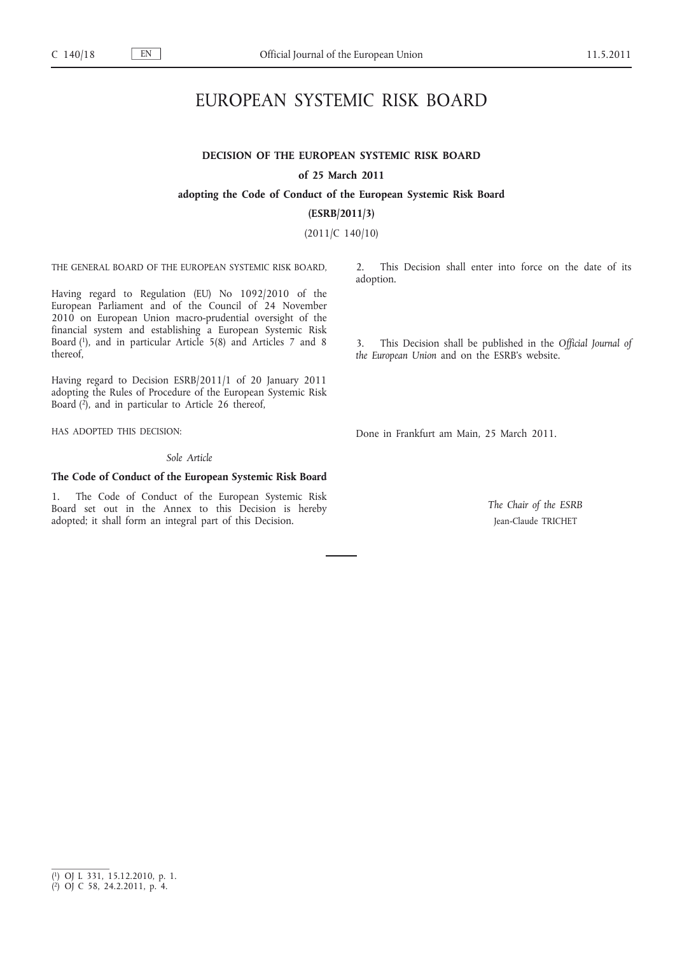# EUROPEAN SYSTEMIC RISK BOARD

## **DECISION OF THE EUROPEAN SYSTEMIC RISK BOARD of 25 March 2011**

### **adopting the Code of Conduct of the European Systemic Risk Board**

**(ESRB/2011/3)**

(2011/C 140/10)

THE GENERAL BOARD OF THE EUROPEAN SYSTEMIC RISK BOARD,

Having regard to Regulation (EU) No 1092/2010 of the European Parliament and of the Council of 24 November 2010 on European Union macro-prudential oversight of the financial system and establishing a European Systemic Risk Board (1), and in particular Article 5(8) and Articles 7 and 8 thereof,

Having regard to Decision ESRB/2011/1 of 20 January 2011 adopting the Rules of Procedure of the European Systemic Risk Board (2), and in particular to Article 26 thereof,

HAS ADOPTED THIS DECISION:

*Sole Article*

### **The Code of Conduct of the European Systemic Risk Board**

1. The Code of Conduct of the European Systemic Risk Board set out in the Annex to this Decision is hereby adopted; it shall form an integral part of this Decision.

2. This Decision shall enter into force on the date of its adoption.

3. This Decision shall be published in the *Official Journal of the European Union* and on the ESRB's website.

Done in Frankfurt am Main, 25 March 2011.

*The Chair of the ESRB* Jean-Claude TRICHET

<sup>(</sup> 1) OJ L 331, 15.12.2010, p. 1.

<sup>(</sup> 2) OJ C 58, 24.2.2011, p. 4.